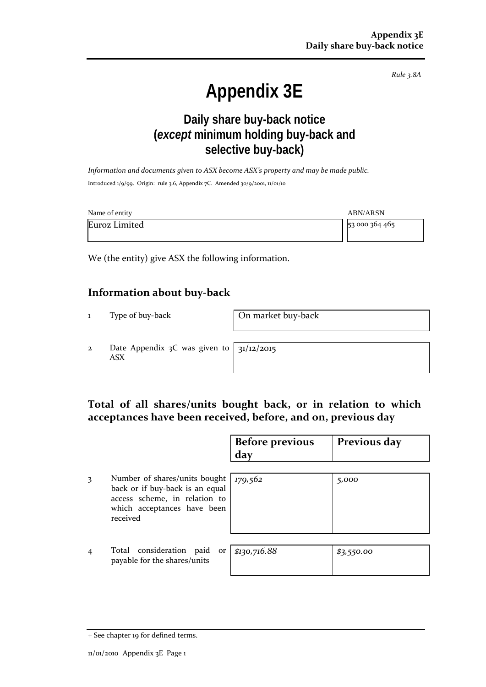*Rule 3.8A*

# **Appendix 3E**

## **Daily share buy-back notice (***except* **minimum holding buy-back and selective buy-back)**

*Information and documents given to ASX become ASX's property and may be made public.* Introduced 1/9/99. Origin: rule 3.6, Appendix 7C. Amended 30/9/2001, 11/01/10

| Name of entity | <b>ABN/ARSN</b> |
|----------------|-----------------|
| Euroz Limited  | 53 000 364 465  |

We (the entity) give ASX the following information.

### **Information about buy-back**

1 Type of buy-back **On market buy-back** 

2 Date Appendix 3C was given to ASX

31/12/2015

## **Total of all shares/units bought back, or in relation to which acceptances have been received, before, and on, previous day**

|                |                                                                                                                                              | <b>Before previous</b><br>day | Previous day |
|----------------|----------------------------------------------------------------------------------------------------------------------------------------------|-------------------------------|--------------|
| 3              | Number of shares/units bought<br>back or if buy-back is an equal<br>access scheme, in relation to<br>which acceptances have been<br>received | 179,562                       | 5,000        |
| $\overline{4}$ | Total consideration<br>paid<br>or<br>payable for the shares/units                                                                            | \$130,716.88                  | \$3,550.00   |

<sup>+</sup> See chapter 19 for defined terms.